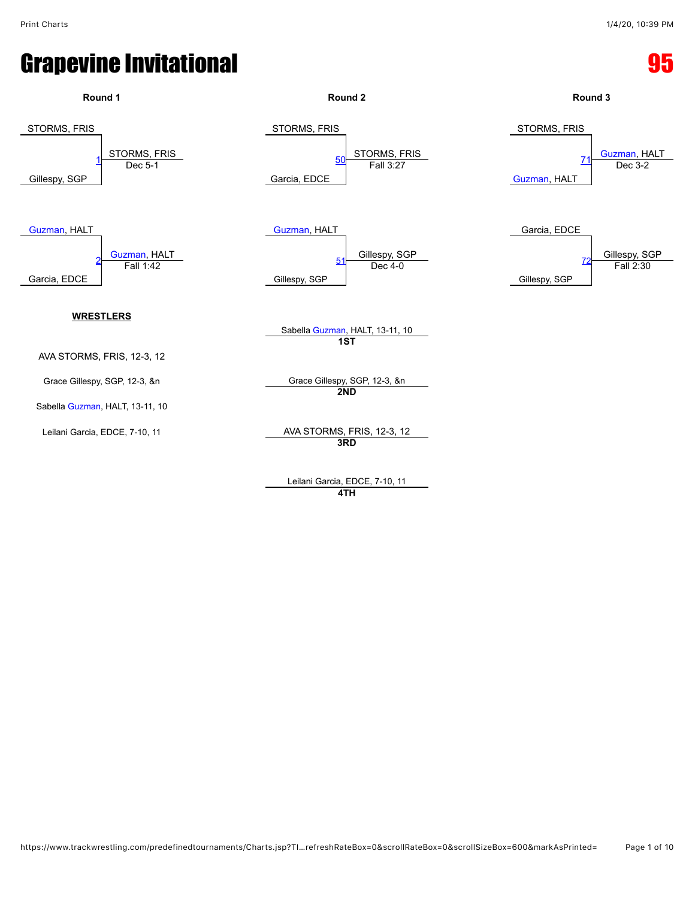

Leilani Garcia, EDCE, 7-10, 11 **4TH**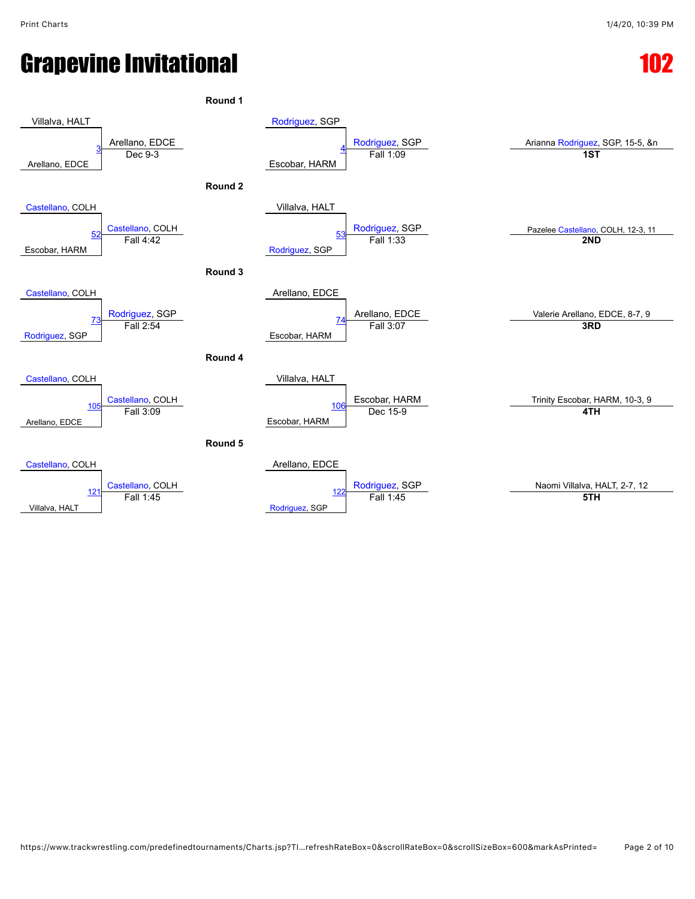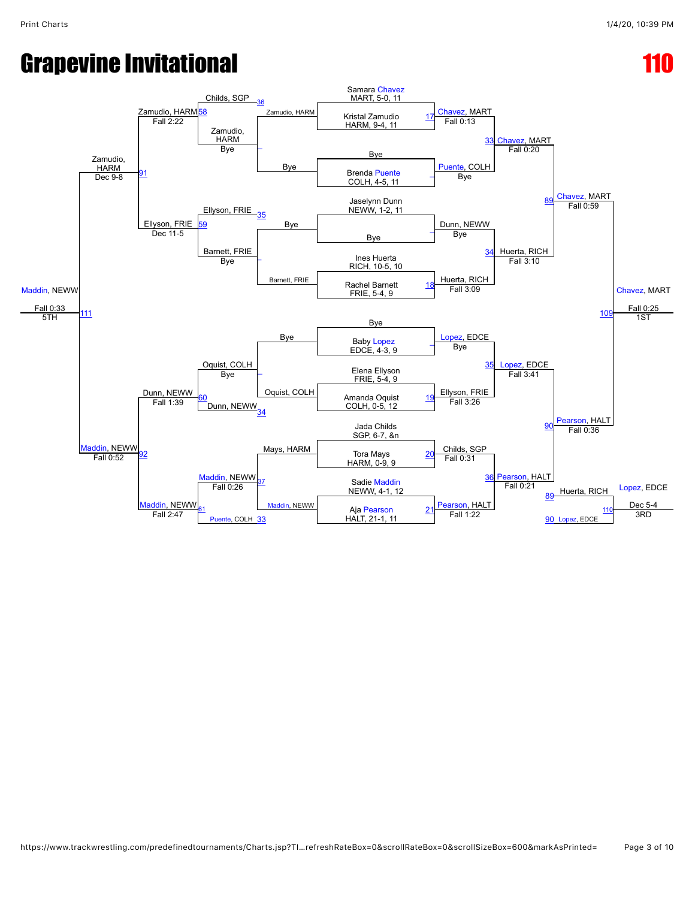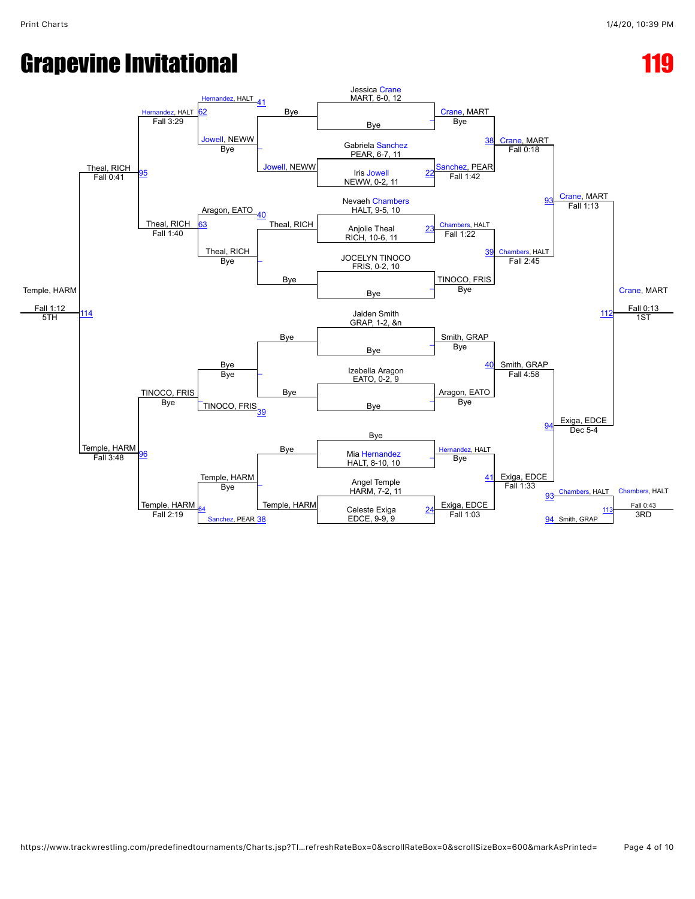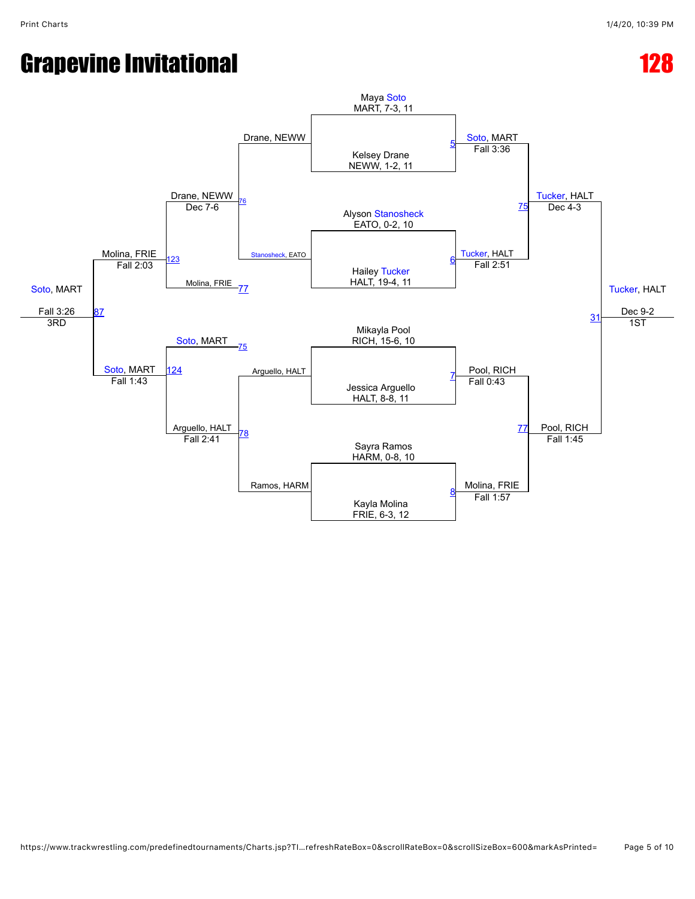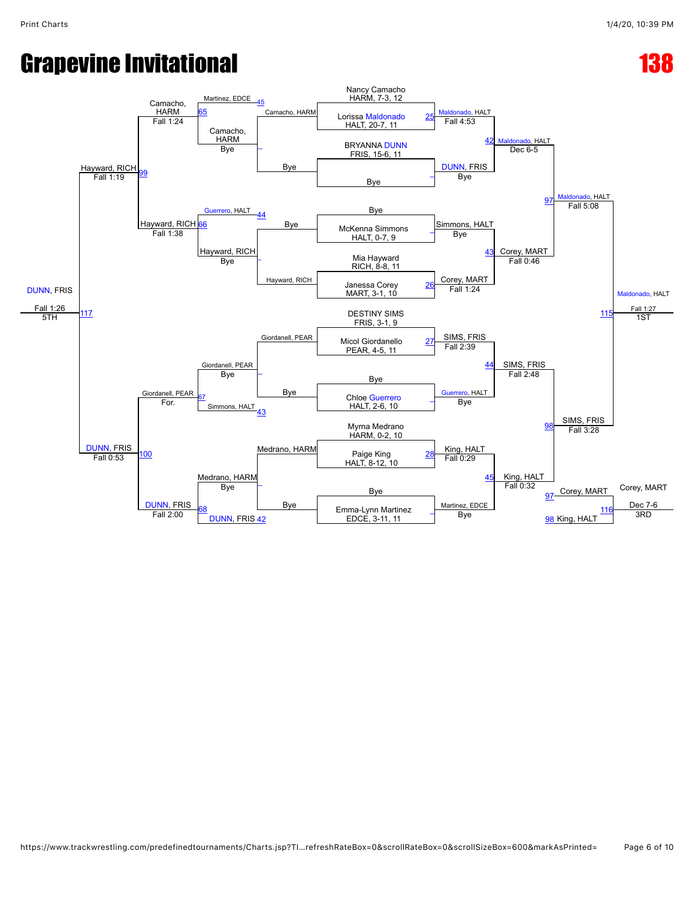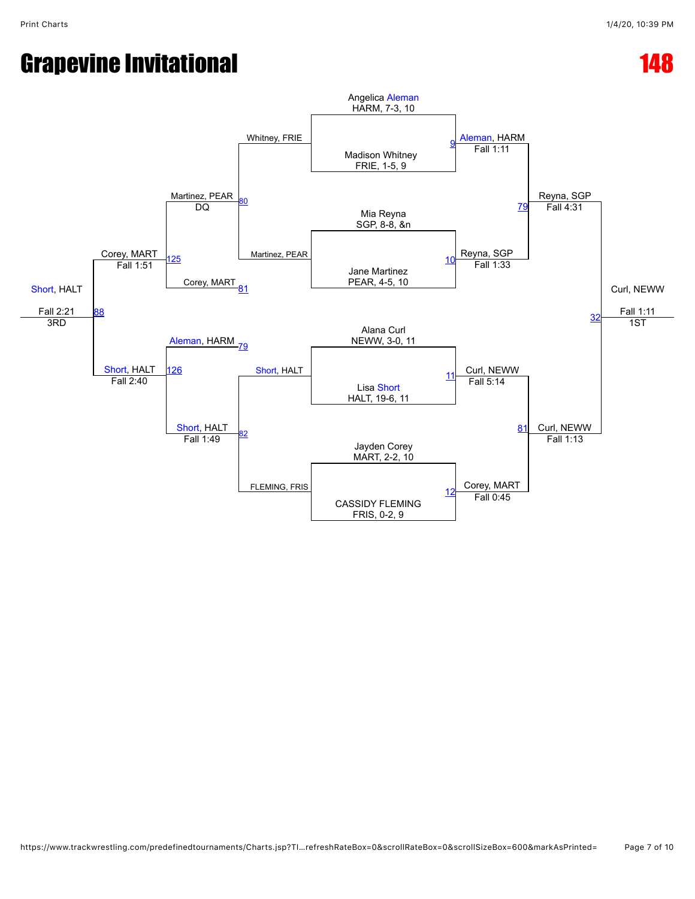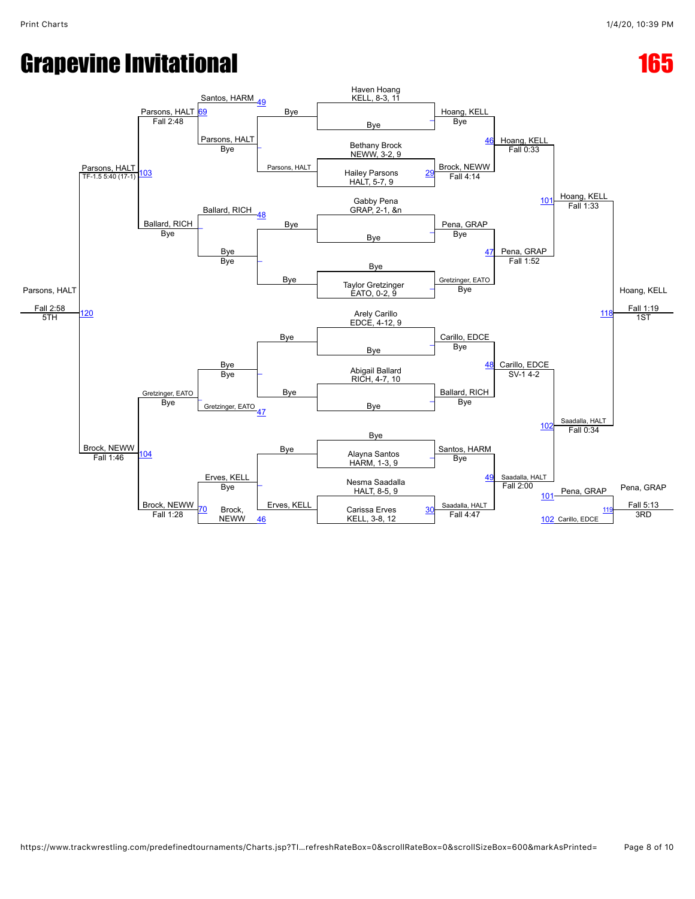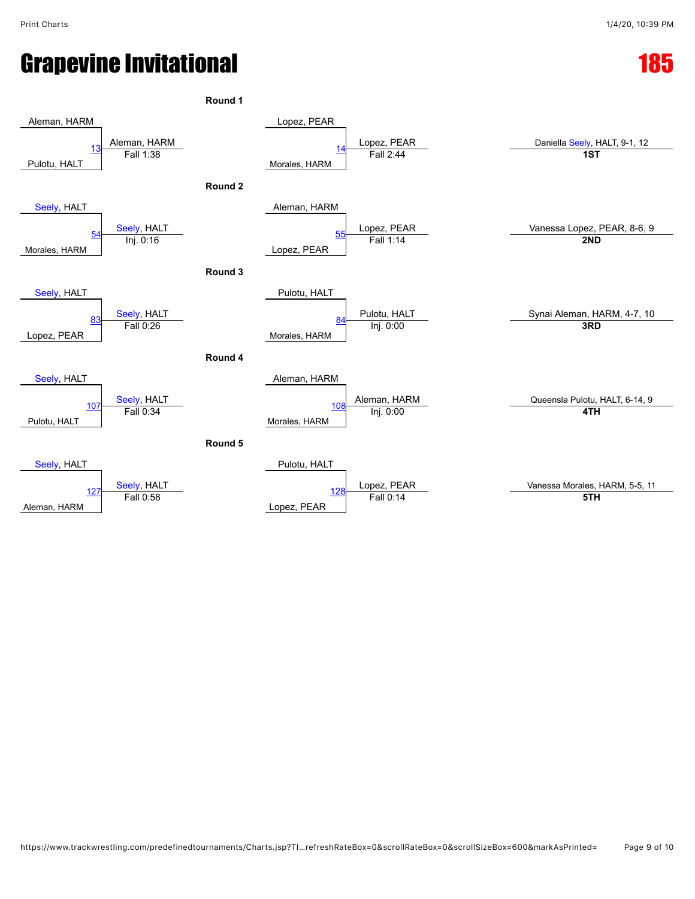|                                                 | Round 1 |                                          |                                |
|-------------------------------------------------|---------|------------------------------------------|--------------------------------|
| Aleman, HARM                                    |         | Lopez, PEAR                              |                                |
|                                                 |         | Lopez, PEAR                              | Daniella Seely, HALT, 9-1, 12  |
| Aleman, HARM<br>Fall 1:38<br>13<br>Pulotu, HALT |         | <u> 14</u><br>Fall 2:44<br>Morales, HARM | 1ST                            |
|                                                 | Round 2 |                                          |                                |
| Seely, HALT                                     |         | Aleman, HARM                             |                                |
| Seely, HALT<br>Inj. 0:16<br>54                  |         | Lopez, PEAR<br>Fall 1:14<br>55           | Vanessa Lopez, PEAR, 8-6, 9    |
| Morales, HARM                                   |         | Lopez, PEAR                              | 2ND                            |
|                                                 | Round 3 |                                          |                                |
| Seely, HALT                                     |         | Pulotu, HALT                             |                                |
| Seely, HALT<br>Fall 0:26<br>83                  |         | Pulotu, HALT<br>84                       | Synai Aleman, HARM, 4-7, 10    |
| Lopez, PEAR                                     |         | Inj. 0:00<br>Morales, HARM               | 3RD                            |
|                                                 | Round 4 |                                          |                                |
| Seely, HALT                                     |         | Aleman, HARM                             |                                |
| Seely, HALT<br>Fall 0:34<br>107                 |         | Aleman, HARM<br>Inj. 0:00<br>108         | Queensla Pulotu, HALT, 6-14, 9 |
| Pulotu, HALT                                    |         | Morales, HARM                            | 4TH                            |
|                                                 | Round 5 |                                          |                                |
| Seely, HALT                                     |         | Pulotu, HALT                             |                                |
| Seely, HALT<br>127                              |         | Lopez, PEAR<br>128                       | Vanessa Morales, HARM, 5-5, 11 |
| Fall 0:58<br>Aleman, HARM                       |         | Fall 0:14<br>Lopez, PEAR                 | 5TH                            |